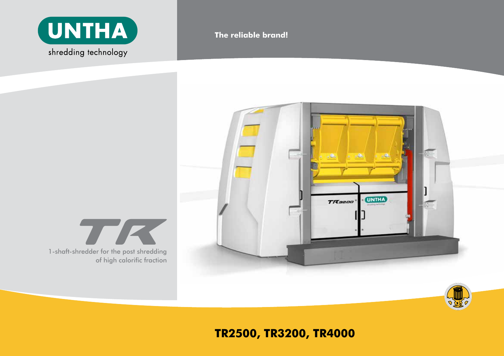

# **The reliable brand!**





**TR2500, tr3200, tr4000**

1-shaft-shredder for the post shredding *Tr*  of high calorific fraction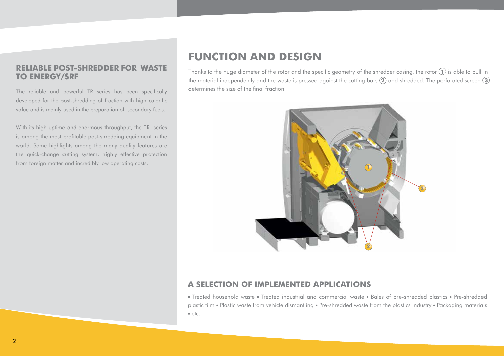#### **Reliable Post-shredder for Waste to Energy/SRF**

The reliable and powerful TR series has been specifically developed for the post-shredding of fraction with high calorific value and is mainly used in the preparation of secondary fuels.

With its high uptime and enormous throughput, the TR series is among the most profitable post-shredding equipment in the world. Some highlights among the many quality features are the quick-change cutting system, highly effective protection from foreign matter and incredibly low operating costs.

# **funcTion and design**

Thanks to the huge diameter of the rotor and the specific geometry of the shredder casing, the rotor **1** is able to pull in the material independently and the waste is pressed against the cutting bars **2** and shredded. The perforated screen **3** determines the size of the final fraction.



#### **a selecTion of implemenTed applicaTions**

**•** Treated household waste **•** Treated industrial and commercial waste **•** Bales of pre-shredded plastics **•** Pre-shredded plastic film **•** Plastic waste from vehicle dismantling **•** Pre-shredded waste from the plastics industry **•** Packaging materials **•** etc.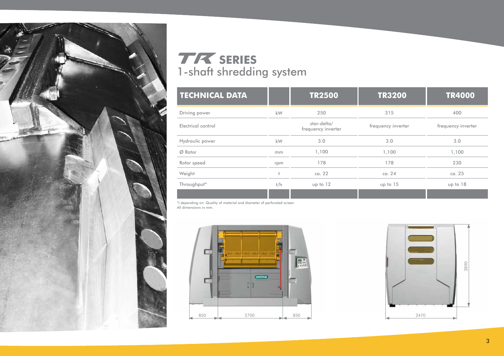

# *Tr* **series** 1-shaft shredding system

| <b>TECHNICAL DATA</b> |     | <b>TR2500</b>                     | <b>TR3200</b>      | <b>TR4000</b>      |
|-----------------------|-----|-----------------------------------|--------------------|--------------------|
| Driving power         | kW  | 250                               | 315                | 400                |
| Electrical control    |     | star-delta/<br>frequency inverter | frequency inverter | frequency inverter |
| Hydraulic power       | kW  | 3.0                               | 3.0                | 3.0                |
| $Ø$ Rotor             | mm  | 1,100                             | 1,100              | 1,100              |
| Rotor speed           | rpm | 178                               | 178                | 230                |
| Weight                |     | ca. 22                            | ca. $24$           | ca. 25             |
| Throughput*           | t/h | up to 12                          | up to 15           | up to 18           |
|                       |     |                                   |                    |                    |

\*) depending on: Quality of material and diameter of perforated screen All dimensions in mm.



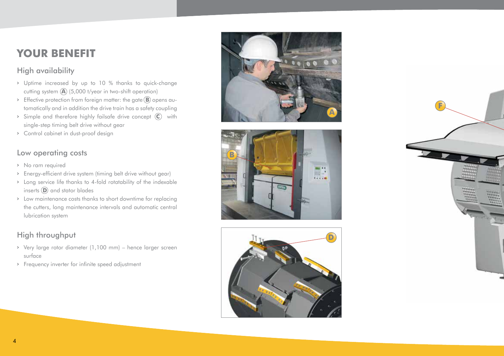#### **You r Benefi t**

## High availability

- **>** Uptime increased by up to 10 % thanks to quick-change cutting system **A** (5,000 t/year in two-shift operation)
- **>** Effective protection from foreign matter: the gate **B** opens au tomatically and in addition the drive train has a safety coupling
- **>** Simple and therefore highly failsafe drive concept **C** with single-step timing belt drive without gear
- **>** Control cabinet in dust-proof design

### Low operating costs

- **>** No ram required
- **>** Energy-efficient drive system (timing belt drive without gear)
- **>** Long service life thanks to 4-fold rotatability of the indexable inserts **D** and stator blades
- **>** Low maintenance costs thanks to short downtime for replacing the cutters, long maintenance intervals and automatic central lubrication system

# High throughput

- **>** Very large rotor diameter (1,100 mm) hence larger screen surface
- **>** Frequency inverter for infinite speed adjustment







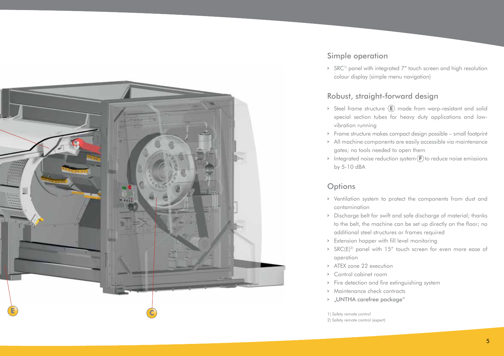

### Simple operation

**>** SRC1) panel with integrated 7" touch screen and high resolution colour display (simple menu navigation)

#### Robust, straight-forward design

- **>** Steel frame structure **E** made from warp-resistant and solid special section tubes for heavy duty applications and lowvibration running
- **>** Frame structure makes compact design possible small footprint
- **>** All machine components are easily accessible via maintenance gates; no tools needed to open them
- **>** Integrated noise reduction system **F** to reduce noise emissions by 5-10 dBA

#### **Options**

- **>** Ventilation system to protect the components from dust and contamination
- **>** Discharge belt for swift and safe discharge of material; thanks to the belt, the machine can be set up directly on the floor; no additional steel structures or frames required
- **>** Extension hopper with fill level monitoring
- **>** SRC(E)2) panel with 15" touch screen for even more ease of operation
- **>** ATEX zone 22 execution
- **>** Control cabinet room
- **>** Fire detection and fire extinguishing system
- **>** Maintenance check contracts
- **>** "UNTHA carefree package"

1) Safety remote control

2) Safety remote control (expert)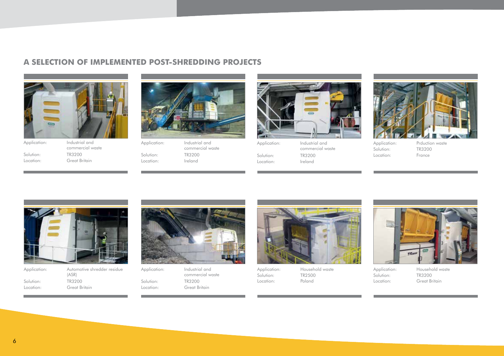## **a selecTion of implemenTed posT-shredding projecTs**





Location: Great Britain



Application: Industrial and commercial waste Solution: TR3200<br>Location: Ireland Location:



Application: Industrial and commercial waste Solution: TR3200<br>Location: Ireland Location:



Application: Prduction waste Solution: TR3200<br>Location: France Location:

| Application: | Automotive shredder residue<br>(ASR) |  |  |  |
|--------------|--------------------------------------|--|--|--|
| Solution:    | TR3200                               |  |  |  |
| Location:    | Great Britain                        |  |  |  |



Application: Industrial and commercial waste Solution: TR3200 Location: Great Britain



Application: Household waste Solution: TR2500 Location: Poland



Application: Household waste Solution: TR3200 Location: Great Britain

6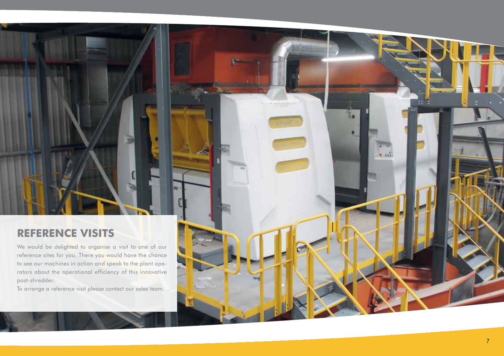#### **REFERENCE VISITS t**

We would be delighted to organise a visit to one of our reference sites for you. There you would have the chance to see our machines in action and speak to the plant ope rators about the operational efficiency of this innovative post-shredder.

loo

To arrange a reference visit please contact our sales team.

 $-$